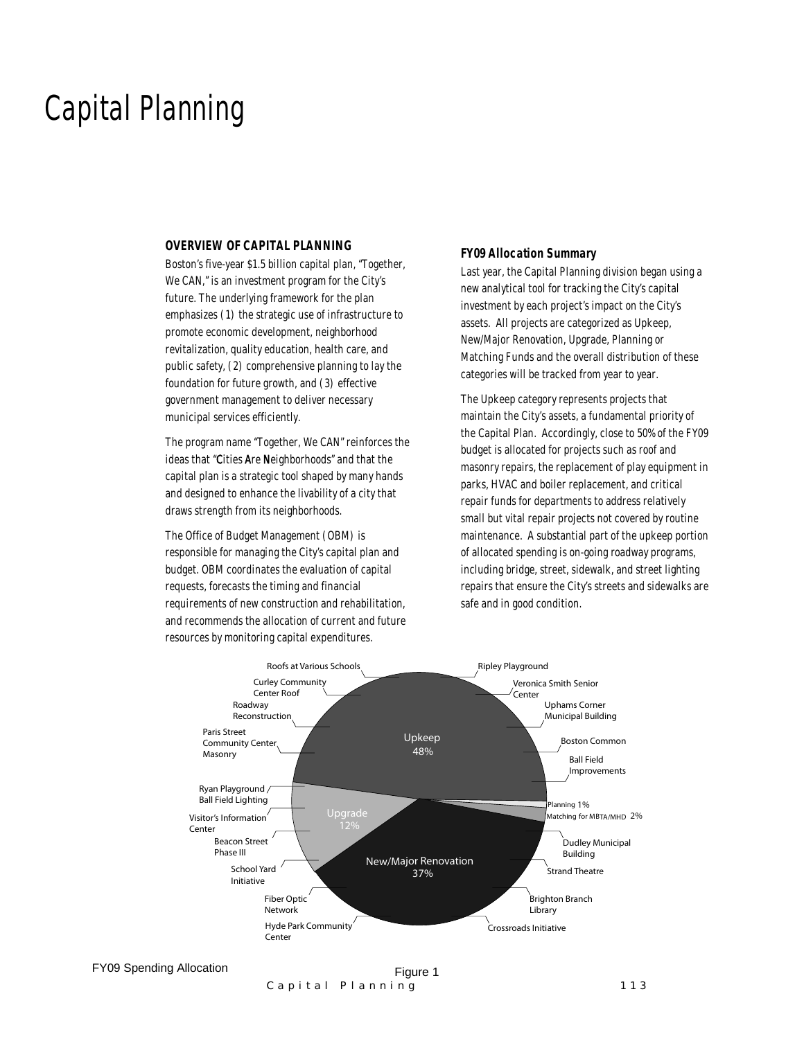# Capital Planning

### *OVERVIEW OF CAPITAL PLANNING*

Boston's five-year \$1.5 billion capital plan, "Together, We CAN," is an investment program for the City's future. The underlying framework for the plan emphasizes (1) the strategic use of infrastructure to promote economic development, neighborhood revitalization, quality education, health care, and public safety, (2) comprehensive planning to lay the foundation for future growth, and (3) effective government management to deliver necessary municipal services efficiently.

The program name "Together, We CAN" reinforces the ideas that "Cities Are Neighborhoods" and that the capital plan is a strategic tool shaped by many hands and designed to enhance the livability of a city that draws strength from its neighborhoods.

The Office of Budget Management (OBM) is responsible for managing the City's capital plan and budget. OBM coordinates the evaluation of capital requests, forecasts the timing and financial requirements of new construction and rehabilitation, and recommends the allocation of current and future resources by monitoring capital expenditures.

#### *FY09 Allocation Summary*

Last year, the Capital Planning division began using a new analytical tool for tracking the City's capital investment by each project's impact on the City's assets. All projects are categorized as Upkeep, New/Major Renovation, Upgrade, Planning or Matching Funds and the overall distribution of these categories will be tracked from year to year.

The Upkeep category represents projects that maintain the City's assets, a fundamental priority of the Capital Plan. Accordingly, close to 50% of the FY09 budget is allocated for projects such as roof and masonry repairs, the replacement of play equipment in parks, HVAC and boiler replacement, and critical repair funds for departments to address relatively small but vital repair projects not covered by routine maintenance. A substantial part of the upkeep portion of allocated spending is on-going roadway programs, including bridge, street, sidewalk, and street lighting repairs that ensure the City's streets and sidewalks are safe and in good condition.

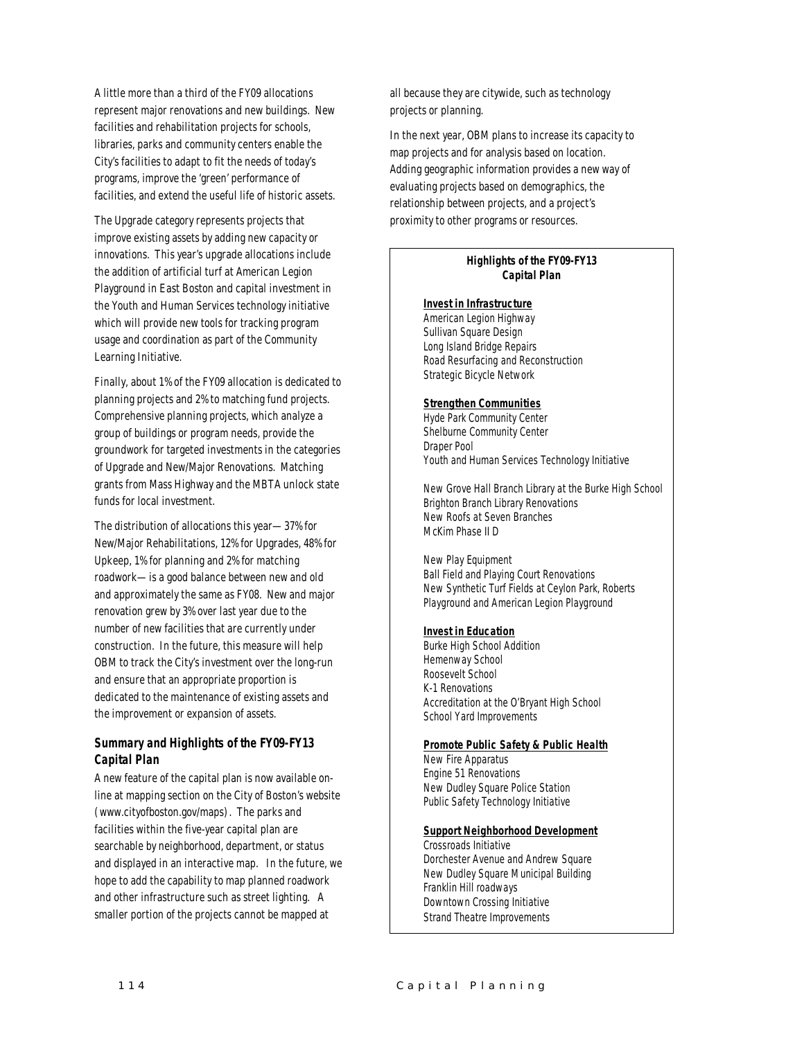A little more than a third of the FY09 allocations represent major renovations and new buildings. New facilities and rehabilitation projects for schools, libraries, parks and community centers enable the City's facilities to adapt to fit the needs of today's programs, improve the 'green' performance of facilities, and extend the useful life of historic assets.

The Upgrade category represents projects that improve existing assets by adding new capacity or innovations. This year's upgrade allocations include the addition of artificial turf at American Legion Playground in East Boston and capital investment in the Youth and Human Services technology initiative which will provide new tools for tracking program usage and coordination as part of the Community Learning Initiative.

Finally, about 1% of the FY09 allocation is dedicated to planning projects and 2% to matching fund projects. Comprehensive planning projects, which analyze a group of buildings or program needs, provide the groundwork for targeted investments in the categories of Upgrade and New/Major Renovations. Matching grants from Mass Highway and the MBTA unlock state funds for local investment.

The distribution of allocations this year—37% for New/Major Rehabilitations, 12% for Upgrades, 48% for Upkeep, 1% for planning and 2% for matching roadwork—is a good balance between new and old and approximately the same as FY08. New and major renovation grew by 3% over last year due to the number of new facilities that are currently under construction. In the future, this measure will help OBM to track the City's investment over the long-run and ensure that an appropriate proportion is dedicated to the maintenance of existing assets and the improvement or expansion of assets.

# *Summary and Highlights of the FY09-FY13 Capital Plan*

A new feature of the capital plan is now available online at mapping section on the City of Boston's website (www.cityofboston.gov/maps). The parks and facilities within the five-year capital plan are searchable by neighborhood, department, or status and displayed in an interactive map. In the future, we hope to add the capability to map planned roadwork and other infrastructure such as street lighting. A smaller portion of the projects cannot be mapped at

all because they are citywide, such as technology projects or planning.

In the next year, OBM plans to increase its capacity to map projects and for analysis based on location. Adding geographic information provides a new way of evaluating projects based on demographics, the relationship between projects, and a project's proximity to other programs or resources.

### *Highlights of the FY09-FY13 Capital Plan*

#### *Invest in Infrastructure*

American Legion Highway Sullivan Square Design Long Island Bridge Repairs Road Resurfacing and Reconstruction Strategic Bicycle Network

### *Strengthen Communities*

Hyde Park Community Center Shelburne Community Center Draper Pool Youth and Human Services Technology Initiative

New Grove Hall Branch Library at the Burke High School Brighton Branch Library Renovations New Roofs at Seven Branches McKim Phase II D

New Play Equipment Ball Field and Playing Court Renovations New Synthetic Turf Fields at Ceylon Park, Roberts Playground and American Legion Playground

# *Invest in Education*

Burke High School Addition Hemenway School Roosevelt School K-1 Renovations Accreditation at the O'Bryant High School School Yard Improvements

#### *Promote Public Safety & Public Health*

New Fire Apparatus Engine 51 Renovations New Dudley Square Police Station Public Safety Technology Initiative

#### *Support Neighborhood Development*

Crossroads Initiative Dorchester Avenue and Andrew Square New Dudley Square Municipal Building Franklin Hill roadways Downtown Crossing Initiative Strand Theatre Improvements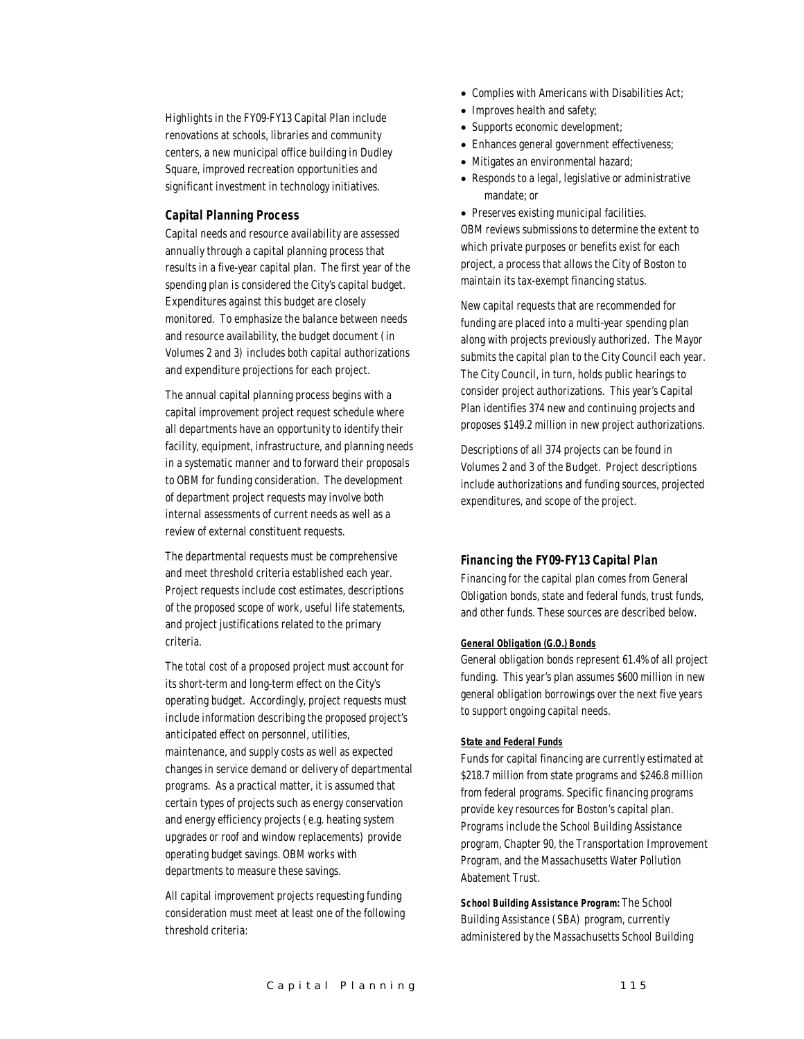Highlights in the FY09-FY13 Capital Plan include renovations at schools, libraries and community centers, a new municipal office building in Dudley Square, improved recreation opportunities and significant investment in technology initiatives.

### *Capital Planning Process*

Capital needs and resource availability are assessed annually through a capital planning process that results in a five-year capital plan. The first year of the spending plan is considered the City's capital budget. Expenditures against this budget are closely monitored. To emphasize the balance between needs and resource availability, the budget document (in Volumes 2 and 3) includes both capital authorizations and expenditure projections for each project.

The annual capital planning process begins with a capital improvement project request schedule where all departments have an opportunity to identify their facility, equipment, infrastructure, and planning needs in a systematic manner and to forward their proposals to OBM for funding consideration. The development of department project requests may involve both internal assessments of current needs as well as a review of external constituent requests.

The departmental requests must be comprehensive and meet threshold criteria established each year. Project requests include cost estimates, descriptions of the proposed scope of work, useful life statements, and project justifications related to the primary criteria.

The total cost of a proposed project must account for its short-term and long-term effect on the City's operating budget. Accordingly, project requests must include information describing the proposed project's anticipated effect on personnel, utilities, maintenance, and supply costs as well as expected changes in service demand or delivery of departmental programs. As a practical matter, it is assumed that certain types of projects such as energy conservation and energy efficiency projects (e.g. heating system upgrades or roof and window replacements) provide operating budget savings. OBM works with departments to measure these savings.

All capital improvement projects requesting funding consideration must meet at least one of the following threshold criteria:

- Complies with Americans with Disabilities Act;
- Improves health and safety;
- Supports economic development;
- Enhances general government effectiveness;
- Mitigates an environmental hazard;
- Responds to a legal, legislative or administrative mandate; or

• Preserves existing municipal facilities. OBM reviews submissions to determine the extent to which private purposes or benefits exist for each project, a process that allows the City of Boston to maintain its tax-exempt financing status.

New capital requests that are recommended for funding are placed into a multi-year spending plan along with projects previously authorized. The Mayor submits the capital plan to the City Council each year. The City Council, in turn, holds public hearings to consider project authorizations. This year's Capital Plan identifies 374 new and continuing projects and proposes \$149.2 million in new project authorizations.

Descriptions of all 374 projects can be found in Volumes 2 and 3 of the Budget. Project descriptions include authorizations and funding sources, projected expenditures, and scope of the project.

# *Financing the FY09-FY13 Capital Plan*

Financing for the capital plan comes from General Obligation bonds, state and federal funds, trust funds, and other funds. These sources are described below.

#### *General Obligation (G.O.) Bonds*

General obligation bonds represent 61.4% of all project funding. This year's plan assumes \$600 million in new general obligation borrowings over the next five years to support ongoing capital needs.

#### *State and Federal Funds*

Funds for capital financing are currently estimated at \$218.7 million from state programs and \$246.8 million from federal programs. Specific financing programs provide key resources for Boston's capital plan. Programs include the School Building Assistance program, Chapter 90, the Transportation Improvement Program, and the Massachusetts Water Pollution Abatement Trust.

*School Building Assistance Program:* The School Building Assistance (SBA) program, currently administered by the Massachusetts School Building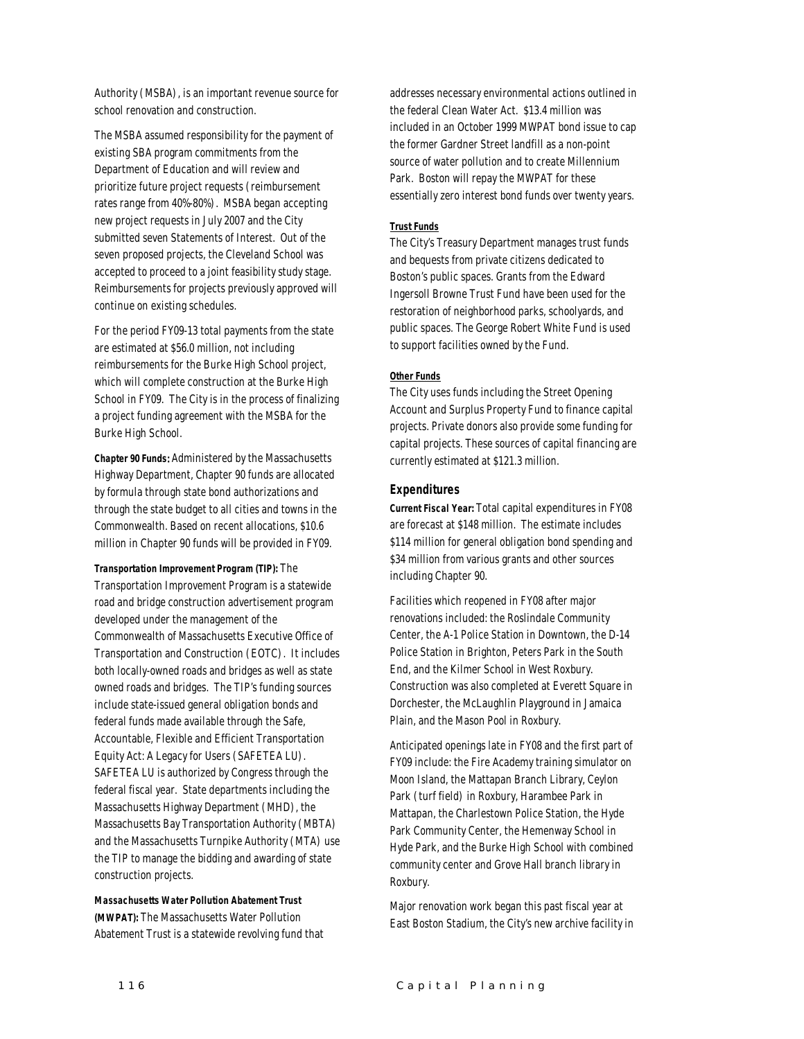Authority (MSBA), is an important revenue source for school renovation and construction.

The MSBA assumed responsibility for the payment of existing SBA program commitments from the Department of Education and will review and prioritize future project requests (reimbursement rates range from 40%-80%). MSBA began accepting new project requests in July 2007 and the City submitted seven Statements of Interest. Out of the seven proposed projects, the Cleveland School was accepted to proceed to a joint feasibility study stage. Reimbursements for projects previously approved will continue on existing schedules.

For the period FY09-13 total payments from the state are estimated at \$56.0 million, not including reimbursements for the Burke High School project, which will complete construction at the Burke High School in FY09. The City is in the process of finalizing a project funding agreement with the MSBA for the Burke High School.

*Chapter 90 Funds*: Administered by the Massachusetts Highway Department, Chapter 90 funds are allocated by formula through state bond authorizations and through the state budget to all cities and towns in the Commonwealth. Based on recent allocations, \$10.6 million in Chapter 90 funds will be provided in FY09.

#### *Transportation Improvement Program (TIP):* The

Transportation Improvement Program is a statewide road and bridge construction advertisement program developed under the management of the Commonwealth of Massachusetts Executive Office of Transportation and Construction (EOTC). It includes both locally-owned roads and bridges as well as state owned roads and bridges. The TIP's funding sources include state-issued general obligation bonds and federal funds made available through the Safe, Accountable, Flexible and Efficient Transportation Equity Act: A Legacy for Users (SAFETEA LU). SAFETEA LU is authorized by Congress through the federal fiscal year. State departments including the Massachusetts Highway Department (MHD), the Massachusetts Bay Transportation Authority (MBTA) and the Massachusetts Turnpike Authority (MTA) use the TIP to manage the bidding and awarding of state construction projects.

*Massachusetts Water Pollution Abatement Trust (MWPAT):* The Massachusetts Water Pollution Abatement Trust is a statewide revolving fund that addresses necessary environmental actions outlined in the federal Clean Water Act. \$13.4 million was included in an October 1999 MWPAT bond issue to cap the former Gardner Street landfill as a non-point source of water pollution and to create Millennium Park. Boston will repay the MWPAT for these essentially zero interest bond funds over twenty years.

#### *Trust Funds*

The City's Treasury Department manages trust funds and bequests from private citizens dedicated to Boston's public spaces. Grants from the Edward Ingersoll Browne Trust Fund have been used for the restoration of neighborhood parks, schoolyards, and public spaces. The George Robert White Fund is used to support facilities owned by the Fund.

#### *Other Funds*

The City uses funds including the Street Opening Account and Surplus Property Fund to finance capital projects. Private donors also provide some funding for capital projects. These sources of capital financing are currently estimated at \$121.3 million.

#### *Expenditures*

*Current Fiscal Year:* Total capital expenditures in FY08 are forecast at \$148 million. The estimate includes \$114 million for general obligation bond spending and \$34 million from various grants and other sources including Chapter 90.

Facilities which reopened in FY08 after major renovations included: the Roslindale Community Center, the A-1 Police Station in Downtown, the D-14 Police Station in Brighton, Peters Park in the South End, and the Kilmer School in West Roxbury. Construction was also completed at Everett Square in Dorchester, the McLaughlin Playground in Jamaica Plain, and the Mason Pool in Roxbury.

Anticipated openings late in FY08 and the first part of FY09 include: the Fire Academy training simulator on Moon Island, the Mattapan Branch Library, Ceylon Park (turf field) in Roxbury, Harambee Park in Mattapan, the Charlestown Police Station, the Hyde Park Community Center, the Hemenway School in Hyde Park, and the Burke High School with combined community center and Grove Hall branch library in Roxbury.

Major renovation work began this past fiscal year at East Boston Stadium, the City's new archive facility in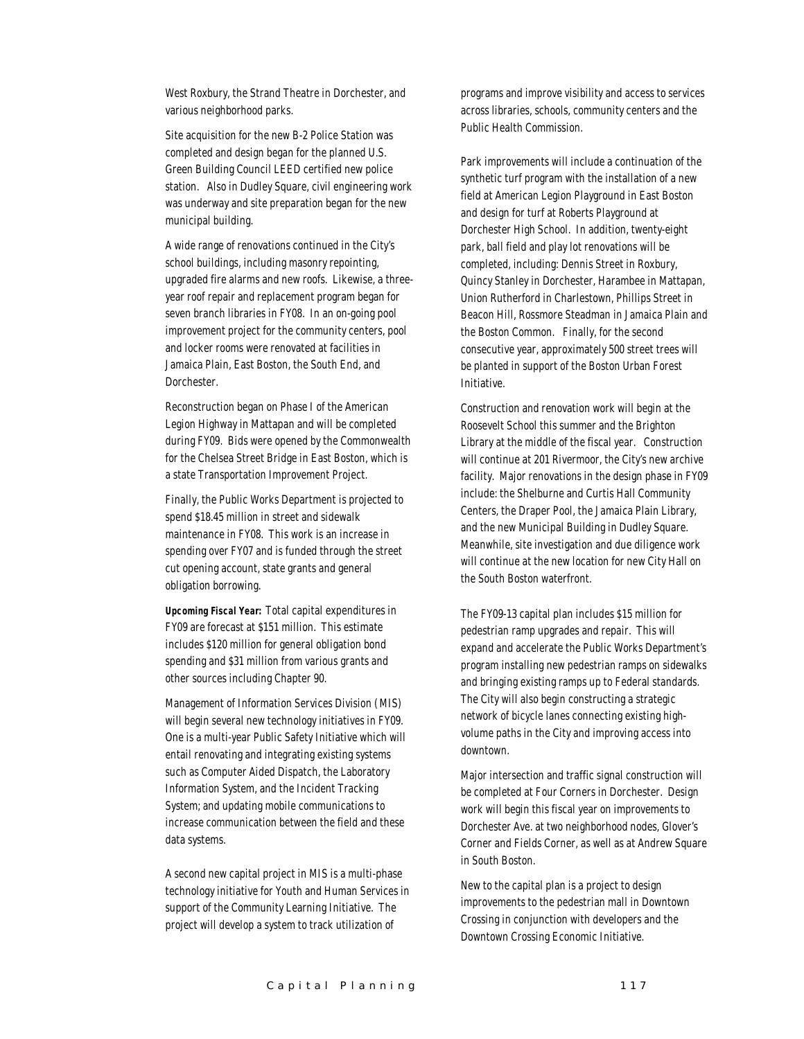West Roxbury, the Strand Theatre in Dorchester, and various neighborhood parks.

Site acquisition for the new B-2 Police Station was completed and design began for the planned U.S. Green Building Council LEED certified new police station. Also in Dudley Square, civil engineering work was underway and site preparation began for the new municipal building.

A wide range of renovations continued in the City's school buildings, including masonry repointing, upgraded fire alarms and new roofs. Likewise, a threeyear roof repair and replacement program began for seven branch libraries in FY08. In an on-going pool improvement project for the community centers, pool and locker rooms were renovated at facilities in Jamaica Plain, East Boston, the South End, and Dorchester.

Reconstruction began on Phase I of the American Legion Highway in Mattapan and will be completed during FY09. Bids were opened by the Commonwealth for the Chelsea Street Bridge in East Boston, which is a state Transportation Improvement Project.

Finally, the Public Works Department is projected to spend \$18.45 million in street and sidewalk maintenance in FY08. This work is an increase in spending over FY07 and is funded through the street cut opening account, state grants and general obligation borrowing.

*Upcoming Fiscal Year:* Total capital expenditures in FY09 are forecast at \$151 million. This estimate includes \$120 million for general obligation bond spending and \$31 million from various grants and other sources including Chapter 90.

Management of Information Services Division (MIS) will begin several new technology initiatives in FY09. One is a multi-year Public Safety Initiative which will entail renovating and integrating existing systems such as Computer Aided Dispatch, the Laboratory Information System, and the Incident Tracking System; and updating mobile communications to increase communication between the field and these data systems.

A second new capital project in MIS is a multi-phase technology initiative for Youth and Human Services in support of the Community Learning Initiative. The project will develop a system to track utilization of

programs and improve visibility and access to services across libraries, schools, community centers and the Public Health Commission.

Park improvements will include a continuation of the synthetic turf program with the installation of a new field at American Legion Playground in East Boston and design for turf at Roberts Playground at Dorchester High School. In addition, twenty-eight park, ball field and play lot renovations will be completed, including: Dennis Street in Roxbury, Quincy Stanley in Dorchester, Harambee in Mattapan, Union Rutherford in Charlestown, Phillips Street in Beacon Hill, Rossmore Steadman in Jamaica Plain and the Boston Common. Finally, for the second consecutive year, approximately 500 street trees will be planted in support of the Boston Urban Forest Initiative.

Construction and renovation work will begin at the Roosevelt School this summer and the Brighton Library at the middle of the fiscal year. Construction will continue at 201 Rivermoor, the City's new archive facility. Major renovations in the design phase in FY09 include: the Shelburne and Curtis Hall Community Centers, the Draper Pool, the Jamaica Plain Library, and the new Municipal Building in Dudley Square. Meanwhile, site investigation and due diligence work will continue at the new location for new City Hall on the South Boston waterfront.

The FY09-13 capital plan includes \$15 million for pedestrian ramp upgrades and repair. This will expand and accelerate the Public Works Department's program installing new pedestrian ramps on sidewalks and bringing existing ramps up to Federal standards. The City will also begin constructing a strategic network of bicycle lanes connecting existing highvolume paths in the City and improving access into downtown.

Major intersection and traffic signal construction will be completed at Four Corners in Dorchester. Design work will begin this fiscal year on improvements to Dorchester Ave. at two neighborhood nodes, Glover's Corner and Fields Corner, as well as at Andrew Square in South Boston.

New to the capital plan is a project to design improvements to the pedestrian mall in Downtown Crossing in conjunction with developers and the Downtown Crossing Economic Initiative.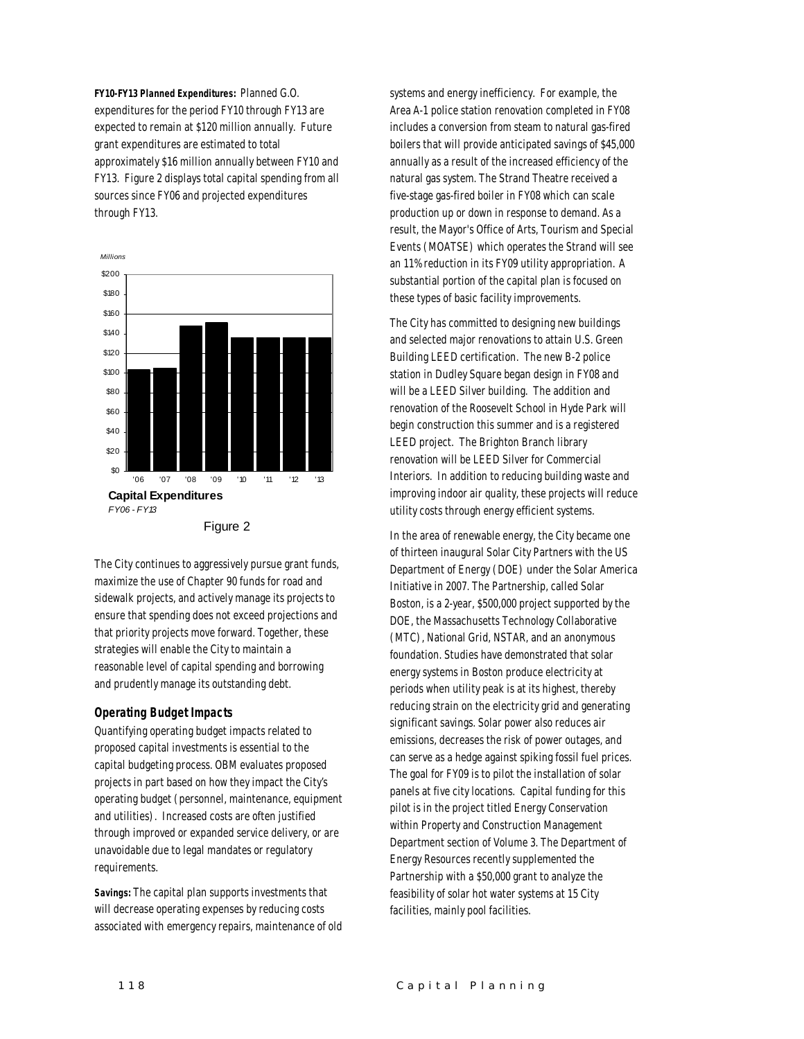*FY10-FY13 Planned Expenditures:* Planned G.O. expenditures for the period FY10 through FY13 are expected to remain at \$120 million annually. Future grant expenditures are estimated to total approximately \$16 million annually between FY10 and FY13. Figure 2 displays total capital spending from all sources since FY06 and projected expenditures through FY13.



The City continues to aggressively pursue grant funds, maximize the use of Chapter 90 funds for road and sidewalk projects, and actively manage its projects to ensure that spending does not exceed projections and that priority projects move forward. Together, these strategies will enable the City to maintain a reasonable level of capital spending and borrowing and prudently manage its outstanding debt.

### *Operating Budget Impacts*

Quantifying operating budget impacts related to proposed capital investments is essential to the capital budgeting process. OBM evaluates proposed projects in part based on how they impact the City's operating budget (personnel, maintenance, equipment and utilities). Increased costs are often justified through improved or expanded service delivery, or are unavoidable due to legal mandates or regulatory requirements.

*Savings:* The capital plan supports investments that will decrease operating expenses by reducing costs associated with emergency repairs, maintenance of old

systems and energy inefficiency. For example, the Area A-1 police station renovation completed in FY08 includes a conversion from steam to natural gas-fired boilers that will provide anticipated savings of \$45,000 annually as a result of the increased efficiency of the natural gas system. The Strand Theatre received a five-stage gas-fired boiler in FY08 which can scale production up or down in response to demand. As a result, the Mayor's Office of Arts, Tourism and Special Events (MOATSE) which operates the Strand will see an 11% reduction in its FY09 utility appropriation. A substantial portion of the capital plan is focused on these types of basic facility improvements.

The City has committed to designing new buildings and selected major renovations to attain U.S. Green Building LEED certification. The new B-2 police station in Dudley Square began design in FY08 and will be a LEED Silver building. The addition and renovation of the Roosevelt School in Hyde Park will begin construction this summer and is a registered LEED project. The Brighton Branch library renovation will be LEED Silver for Commercial Interiors. In addition to reducing building waste and improving indoor air quality, these projects will reduce utility costs through energy efficient systems.

In the area of renewable energy, the City became one of thirteen inaugural Solar City Partners with the US Department of Energy (DOE) under the Solar America Initiative in 2007. The Partnership, called Solar Boston, is a 2-year, \$500,000 project supported by the DOE, the Massachusetts Technology Collaborative (MTC), National Grid, NSTAR, and an anonymous foundation. Studies have demonstrated that solar energy systems in Boston produce electricity at periods when utility peak is at its highest, thereby reducing strain on the electricity grid and generating significant savings. Solar power also reduces air emissions, decreases the risk of power outages, and can serve as a hedge against spiking fossil fuel prices. The goal for FY09 is to pilot the installation of solar panels at five city locations. Capital funding for this pilot is in the project titled Energy Conservation within Property and Construction Management Department section of Volume 3. The Department of Energy Resources recently supplemented the Partnership with a \$50,000 grant to analyze the feasibility of solar hot water systems at 15 City facilities, mainly pool facilities.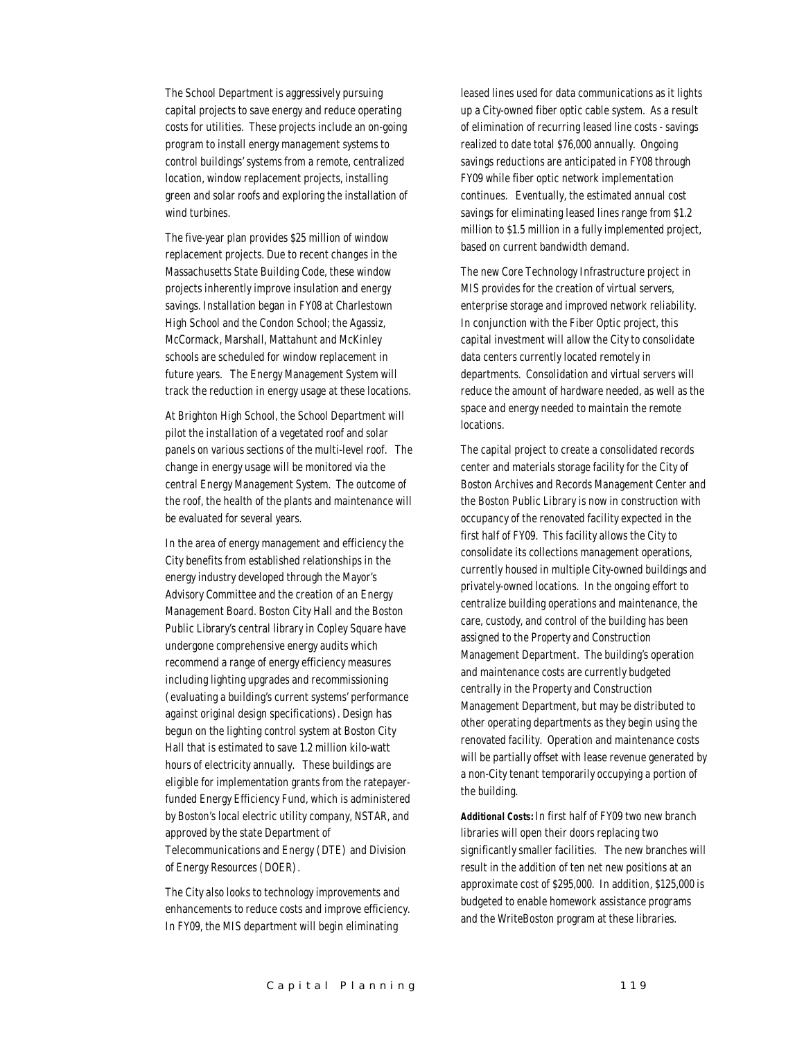The School Department is aggressively pursuing capital projects to save energy and reduce operating costs for utilities. These projects include an on-going program to install energy management systems to control buildings' systems from a remote, centralized location, window replacement projects, installing green and solar roofs and exploring the installation of wind turbines.

The five-year plan provides \$25 million of window replacement projects. Due to recent changes in the Massachusetts State Building Code, these window projects inherently improve insulation and energy savings. Installation began in FY08 at Charlestown High School and the Condon School; the Agassiz, McCormack, Marshall, Mattahunt and McKinley schools are scheduled for window replacement in future years. The Energy Management System will track the reduction in energy usage at these locations.

At Brighton High School, the School Department will pilot the installation of a vegetated roof and solar panels on various sections of the multi-level roof. The change in energy usage will be monitored via the central Energy Management System. The outcome of the roof, the health of the plants and maintenance will be evaluated for several years.

In the area of energy management and efficiency the City benefits from established relationships in the energy industry developed through the Mayor's Advisory Committee and the creation of an Energy Management Board. Boston City Hall and the Boston Public Library's central library in Copley Square have undergone comprehensive energy audits which recommend a range of energy efficiency measures including lighting upgrades and recommissioning (evaluating a building's current systems' performance against original design specifications). Design has begun on the lighting control system at Boston City Hall that is estimated to save 1.2 million kilo-watt hours of electricity annually. These buildings are eligible for implementation grants from the ratepayerfunded Energy Efficiency Fund, which is administered by Boston's local electric utility company, NSTAR, and approved by the state Department of Telecommunications and Energy (DTE) and Division of Energy Resources (DOER).

The City also looks to technology improvements and enhancements to reduce costs and improve efficiency. In FY09, the MIS department will begin eliminating

leased lines used for data communications as it lights up a City-owned fiber optic cable system. As a result of elimination of recurring leased line costs - savings realized to date total \$76,000 annually. Ongoing savings reductions are anticipated in FY08 through FY09 while fiber optic network implementation continues. Eventually, the estimated annual cost savings for eliminating leased lines range from \$1.2 million to \$1.5 million in a fully implemented project, based on current bandwidth demand.

The new Core Technology Infrastructure project in MIS provides for the creation of virtual servers, enterprise storage and improved network reliability. In conjunction with the Fiber Optic project, this capital investment will allow the City to consolidate data centers currently located remotely in departments. Consolidation and virtual servers will reduce the amount of hardware needed, as well as the space and energy needed to maintain the remote locations.

The capital project to create a consolidated records center and materials storage facility for the City of Boston Archives and Records Management Center and the Boston Public Library is now in construction with occupancy of the renovated facility expected in the first half of FY09. This facility allows the City to consolidate its collections management operations, currently housed in multiple City-owned buildings and privately-owned locations. In the ongoing effort to centralize building operations and maintenance, the care, custody, and control of the building has been assigned to the Property and Construction Management Department. The building's operation and maintenance costs are currently budgeted centrally in the Property and Construction Management Department, but may be distributed to other operating departments as they begin using the renovated facility. Operation and maintenance costs will be partially offset with lease revenue generated by a non-City tenant temporarily occupying a portion of the building.

*Additional Costs:* In first half of FY09 two new branch libraries will open their doors replacing two significantly smaller facilities. The new branches will result in the addition of ten net new positions at an approximate cost of \$295,000. In addition, \$125,000 is budgeted to enable homework assistance programs and the WriteBoston program at these libraries.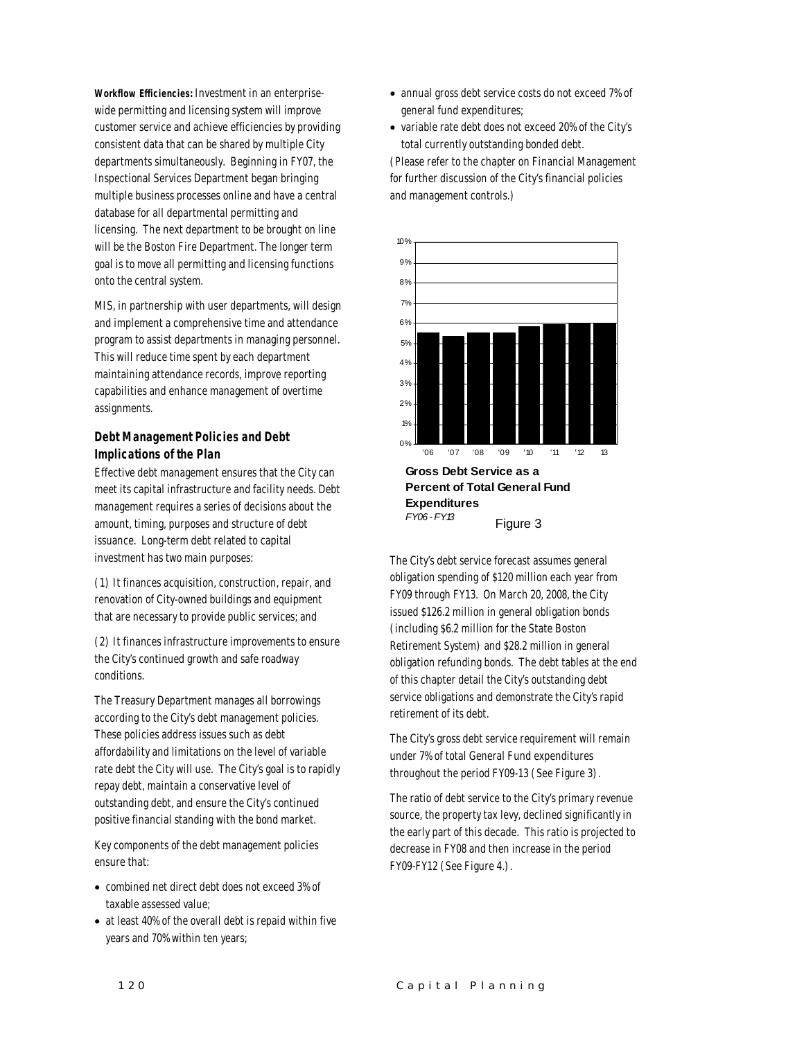*Workflow Efficiencies:* Investment in an enterprisewide permitting and licensing system will improve customer service and achieve efficiencies by providing consistent data that can be shared by multiple City departments simultaneously. Beginning in FY07, the Inspectional Services Department began bringing multiple business processes online and have a central database for all departmental permitting and licensing. The next department to be brought on line will be the Boston Fire Department. The longer term goal is to move all permitting and licensing functions onto the central system.

MIS, in partnership with user departments, will design and implement a comprehensive time and attendance program to assist departments in managing personnel. This will reduce time spent by each department maintaining attendance records, improve reporting capabilities and enhance management of overtime assignments.

# *Debt Management Policies and Debt Implications of the Plan*

Effective debt management ensures that the City can meet its capital infrastructure and facility needs. Debt management requires a series of decisions about the amount, timing, purposes and structure of debt issuance. Long-term debt related to capital investment has two main purposes:

(1) It finances acquisition, construction, repair, and renovation of City-owned buildings and equipment that are necessary to provide public services; and

(2) It finances infrastructure improvements to ensure the City's continued growth and safe roadway conditions.

The Treasury Department manages all borrowings according to the City's debt management policies. These policies address issues such as debt affordability and limitations on the level of variable rate debt the City will use. The City's goal is to rapidly repay debt, maintain a conservative level of outstanding debt, and ensure the City's continued positive financial standing with the bond market.

Key components of the debt management policies ensure that:

- combined net direct debt does not exceed 3% of taxable assessed value;
- at least 40% of the overall debt is repaid within five years and 70% within ten years;
- annual gross debt service costs do not exceed 7% of general fund expenditures;
- variable rate debt does not exceed 20% of the City's total currently outstanding bonded debt.

(Please refer to the chapter on Financial Management for further discussion of the City's financial policies and management controls.)



The City's debt service forecast assumes general obligation spending of \$120 million each year from FY09 through FY13. On March 20, 2008, the City issued \$126.2 million in general obligation bonds (including \$6.2 million for the State Boston Retirement System) and \$28.2 million in general obligation refunding bonds. The debt tables at the end of this chapter detail the City's outstanding debt service obligations and demonstrate the City's rapid retirement of its debt.

Figure 3

The City's gross debt service requirement will remain under 7% of total General Fund expenditures throughout the period FY09-13 (See Figure 3).

The ratio of debt service to the City's primary revenue source, the property tax levy, declined significantly in the early part of this decade. This ratio is projected to decrease in FY08 and then increase in the period FY09-FY12 (See Figure 4.).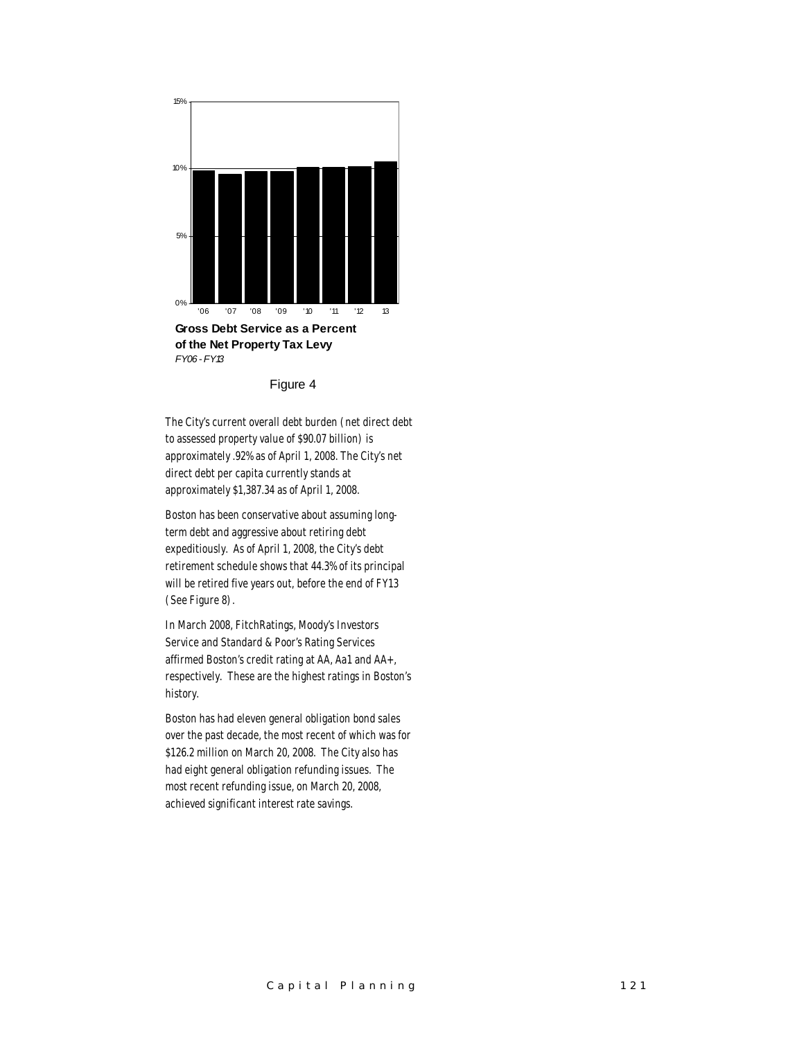

Figure 4

The City's current overall debt burden (net direct debt to assessed property value of \$90.07 billion) is approximately .92% as of April 1, 2008. The City's net direct debt per capita currently stands at approximately \$1,387.34 as of April 1, 2008.

Boston has been conservative about assuming longterm debt and aggressive about retiring debt expeditiously. As of April 1, 2008, the City's debt retirement schedule shows that 44.3% of its principal will be retired five years out, before the end of FY13 (See Figure 8).

In March 2008, FitchRatings, Moody's Investors Service and Standard & Poor's Rating Services affirmed Boston's credit rating at AA, Aa1 and AA+, respectively. These are the highest ratings in Boston's history.

Boston has had eleven general obligation bond sales over the past decade, the most recent of which was for \$126.2 million on March 20, 2008. The City also has had eight general obligation refunding issues. The most recent refunding issue, on March 20, 2008, achieved significant interest rate savings.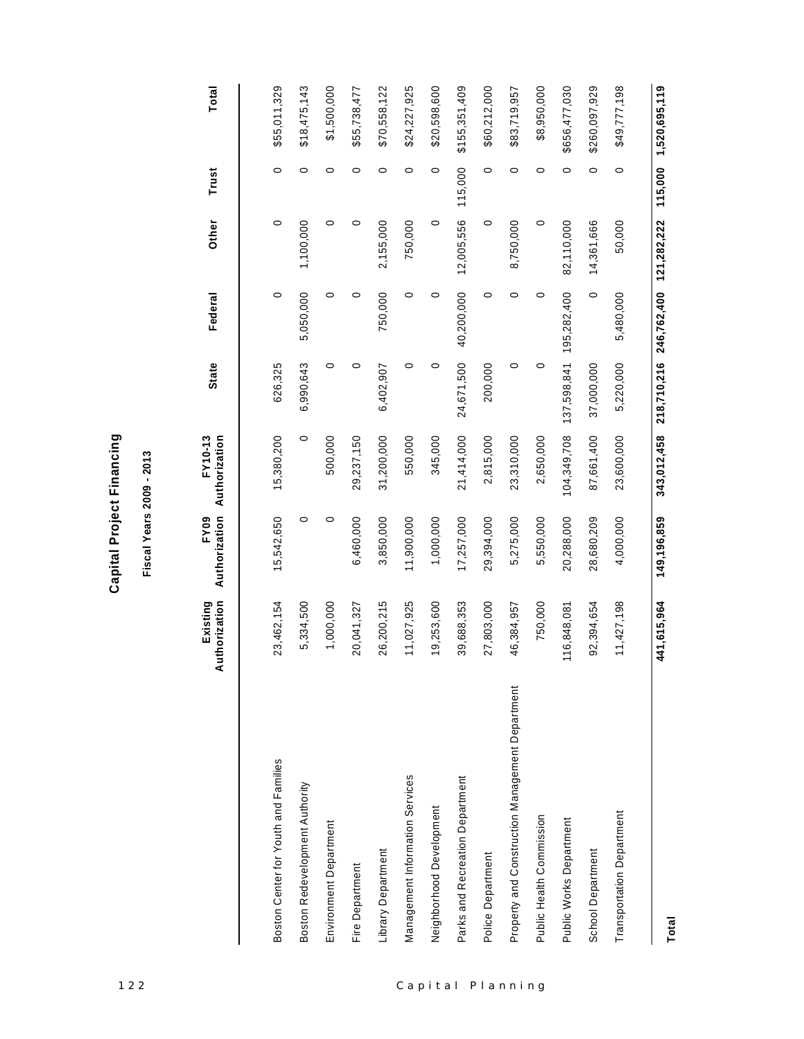| ť      |
|--------|
|        |
| l<br>t |
|        |
| ı      |
| ı      |
|        |
|        |
| h      |
|        |
|        |
|        |
| l      |
|        |
|        |
| ć      |
|        |

|                                                 |                           |                              | Fiscal Years 2009 - 2013 |              |                                     |            |         |               |
|-------------------------------------------------|---------------------------|------------------------------|--------------------------|--------------|-------------------------------------|------------|---------|---------------|
|                                                 | Authorization<br>Existing | Authorization<br><b>FY09</b> | Authorization<br>FY10-13 | <b>State</b> | Federal                             | Other      | Trust   | Total         |
| Boston Center for Youth and Families            | 23,462,154                | 15,542,650                   | 15,380,200               | 626,325      | 0                                   | $\circ$    | 0       | \$55,011,329  |
| Boston Redevelopment Authority                  | 5,334,500                 | 0                            | 0                        | 6,990,643    | 5,050,000                           | 1,100,000  | $\circ$ | \$18,475,143  |
| Environment Department                          | 1,000,000                 | $\circ$                      | 500,000                  | $\circ$      | $\circ$                             | $\circ$    | $\circ$ | \$1,500,000   |
| Fire Department                                 | 20,041,327                | 6,460,000                    | 29,237,150               | 0            | $\circ$                             | $\circ$    | $\circ$ | \$55,738,477  |
| Library Department                              | 26,200,215                | 3,850,000                    | 31,200,000               | 6,402,907    | 750,000                             | 2,155,000  | $\circ$ | \$70,558,122  |
| Management Information Services                 | 11,027,925                | 11,900,000                   | 550,000                  | $\circ$      | $\circ$                             | 750,000    | $\circ$ | \$24,227,925  |
| Neighborhood Development                        | 19,253,600                | 1,000,000                    | 345,000                  | $\circ$      | $\circ$                             | $\circ$    | $\circ$ | \$20,598,600  |
| Parks and Recreation Department                 | 39,688,353                | 17,257,000                   | 21,414,000               | 24,671,500   | 40,200,000                          | 12,005,556 | 115,000 | \$155,351,409 |
| Police Department                               | 27,803,000                | 29,394,000                   | 2,815,000                | 200,000      | 0                                   | $\circ$    | $\circ$ | \$60,212,000  |
| Property and Construction Management Department | 46,384,957                | 5,275,000                    | 23,310,000               | $\circ$      | $\circ$                             | 8,750,000  | $\circ$ | \$83,719,957  |
| Public Health Commission                        | 750,000                   | 5,550,000                    | 2,650,000                | $\circ$      | $\circ$                             | $\circ$    | $\circ$ | \$8,950,000   |
| Public Works Department                         | 116,848,081               | 20,288,000                   | 104,349,708              | 137,598,841  | 195,282,400                         | 82,110,000 | $\circ$ | \$656,477,030 |
| School Department                               | 92,394,654                | 28,680,209                   | 87,661,400               | 37,000,000   | $\circ$                             | 14,361,666 | $\circ$ | \$260,097,929 |
| Transportation Department                       | 11,427,198                | 4,000,000                    | 23,600,000               | 5,220,000    | 5,480,000                           | 50,000     | $\circ$ | \$49,777,198  |
| Total                                           | 441, 615, 964             | 149,196,859                  | 343,012,458              |              | 218,710,216 246,762,400 121,282,222 |            | 115,000 | 1,520,695,119 |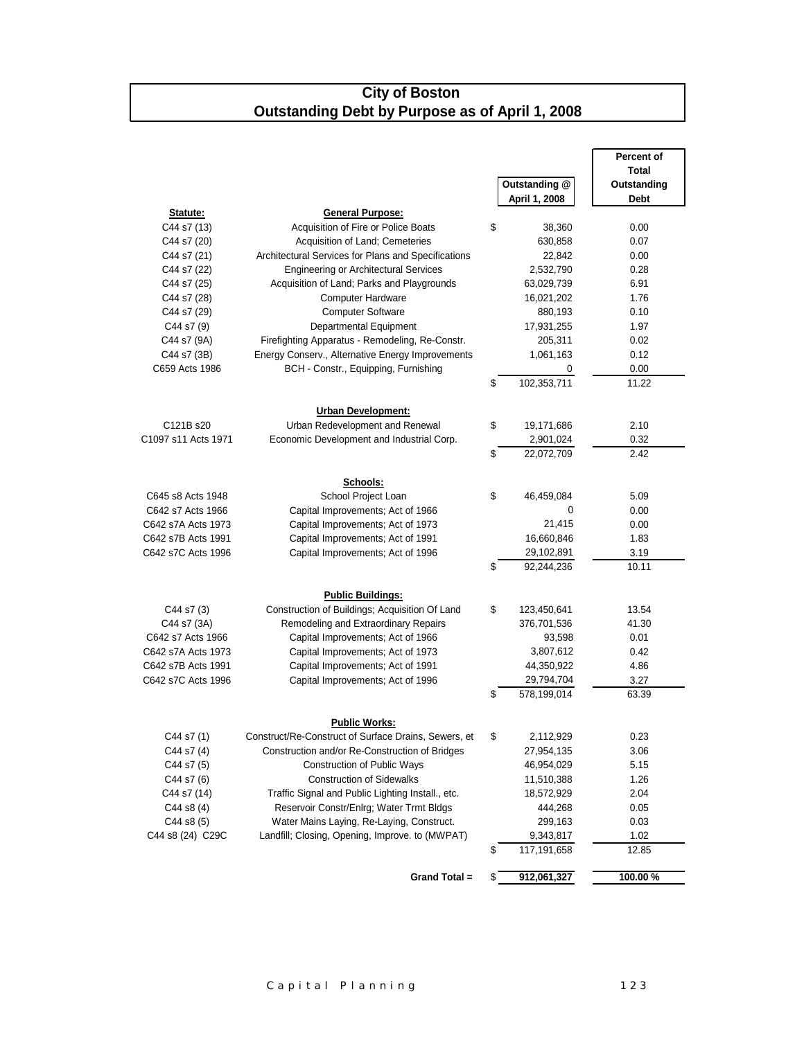# **City of Boston Outstanding Debt by Purpose as of April 1, 2008**

|                                         |                                                                        |                                 | Percent of    |
|-----------------------------------------|------------------------------------------------------------------------|---------------------------------|---------------|
|                                         |                                                                        |                                 | <b>Total</b>  |
|                                         |                                                                        | Outstanding @                   | Outstanding   |
|                                         |                                                                        | April 1, 2008                   | <b>Debt</b>   |
| Statute:                                | <b>General Purpose:</b>                                                |                                 |               |
| C44 s7 (13)                             | Acquisition of Fire or Police Boats                                    | \$<br>38,360                    | 0.00          |
| C44 s7 (20)                             | Acquisition of Land; Cemeteries                                        | 630,858                         | 0.07          |
| C44 s7 (21)                             | Architectural Services for Plans and Specifications                    | 22,842                          | 0.00          |
| C44 s7 (22)                             | <b>Engineering or Architectural Services</b>                           | 2,532,790                       | 0.28          |
| C44 s7 (25)                             | Acquisition of Land; Parks and Playgrounds                             | 63,029,739                      | 6.91          |
| C44 s7 (28)                             | <b>Computer Hardware</b>                                               | 16,021,202                      | 1.76          |
| C44 s7 (29)                             | <b>Computer Software</b>                                               | 880,193                         | 0.10          |
| C44 s7 (9)                              | Departmental Equipment                                                 | 17,931,255                      | 1.97          |
| C44 s7 (9A)                             | Firefighting Apparatus - Remodeling, Re-Constr.                        | 205,311                         | 0.02          |
| C44 s7 (3B)                             | Energy Conserv., Alternative Energy Improvements                       | 1,061,163                       | 0.12          |
| C659 Acts 1986                          | BCH - Constr., Equipping, Furnishing                                   | 0                               | 0.00          |
|                                         |                                                                        | \$<br>102,353,711               | 11.22         |
|                                         |                                                                        |                                 |               |
|                                         | <b>Urban Development:</b>                                              |                                 |               |
| C121B s20                               | Urban Redevelopment and Renewal                                        | \$<br>19,171,686                | 2.10          |
| C1097 s11 Acts 1971                     | Economic Development and Industrial Corp.                              | 2,901,024                       | 0.32          |
|                                         |                                                                        | \$<br>22,072,709                | 2.42          |
|                                         |                                                                        |                                 |               |
|                                         | Schools:                                                               |                                 |               |
| C645 s8 Acts 1948                       | School Project Loan                                                    | \$<br>46,459,084                | 5.09          |
| C642 s7 Acts 1966                       | Capital Improvements; Act of 1966                                      | 0                               | 0.00          |
| C642 s7A Acts 1973                      | Capital Improvements; Act of 1973                                      | 21,415                          | 0.00          |
| C642 s7B Acts 1991                      | Capital Improvements; Act of 1991                                      | 16,660,846                      | 1.83          |
| C642 s7C Acts 1996                      | Capital Improvements; Act of 1996                                      | 29,102,891                      | 3.19          |
|                                         |                                                                        | \$<br>92,244,236                | 10.11         |
|                                         | <b>Public Buildings:</b>                                               |                                 |               |
| C44 s7 (3)                              | Construction of Buildings; Acquisition Of Land                         | \$<br>123,450,641               | 13.54         |
|                                         |                                                                        |                                 | 41.30         |
| C44 s7 (3A)                             | Remodeling and Extraordinary Repairs                                   | 376,701,536<br>93,598           |               |
| C642 s7 Acts 1966<br>C642 s7A Acts 1973 | Capital Improvements; Act of 1966                                      |                                 | 0.01          |
|                                         | Capital Improvements; Act of 1973<br>Capital Improvements; Act of 1991 | 3,807,612<br>44,350,922         | 0.42<br>4.86  |
| C642 s7B Acts 1991                      |                                                                        |                                 |               |
| C642 s7C Acts 1996                      | Capital Improvements; Act of 1996                                      | \$<br>29,794,704<br>578,199,014 | 3.27<br>63.39 |
|                                         |                                                                        |                                 |               |
|                                         | <b>Public Works:</b>                                                   |                                 |               |
| C44 s7 (1)                              | Construct/Re-Construct of Surface Drains, Sewers, et                   | 2,112,929                       | 0.23          |
| C44 s7 (4)                              | Construction and/or Re-Construction of Bridges                         | 27,954,135                      | 3.06          |
| C44 s7 (5)                              | Construction of Public Ways                                            | 46,954,029                      | 5.15          |
| C44 s7 (6)                              | <b>Construction of Sidewalks</b>                                       | 11,510,388                      | 1.26          |
| C44 s7 (14)                             | Traffic Signal and Public Lighting Install., etc.                      | 18,572,929                      | 2.04          |
| $C44$ s8 $(4)$                          | Reservoir Constr/Enlrg; Water Trmt Bldgs                               | 444,268                         | 0.05          |
| C44 s8 (5)                              | Water Mains Laying, Re-Laying, Construct.                              | 299,163                         | 0.03          |
| C44 s8 (24) C29C                        | Landfill; Closing, Opening, Improve. to (MWPAT)                        | 9,343,817                       | 1.02          |
|                                         |                                                                        | \$<br>117,191,658               | 12.85         |
|                                         |                                                                        |                                 |               |
|                                         | Grand Total =                                                          | \$<br>912,061,327               | 100.00%       |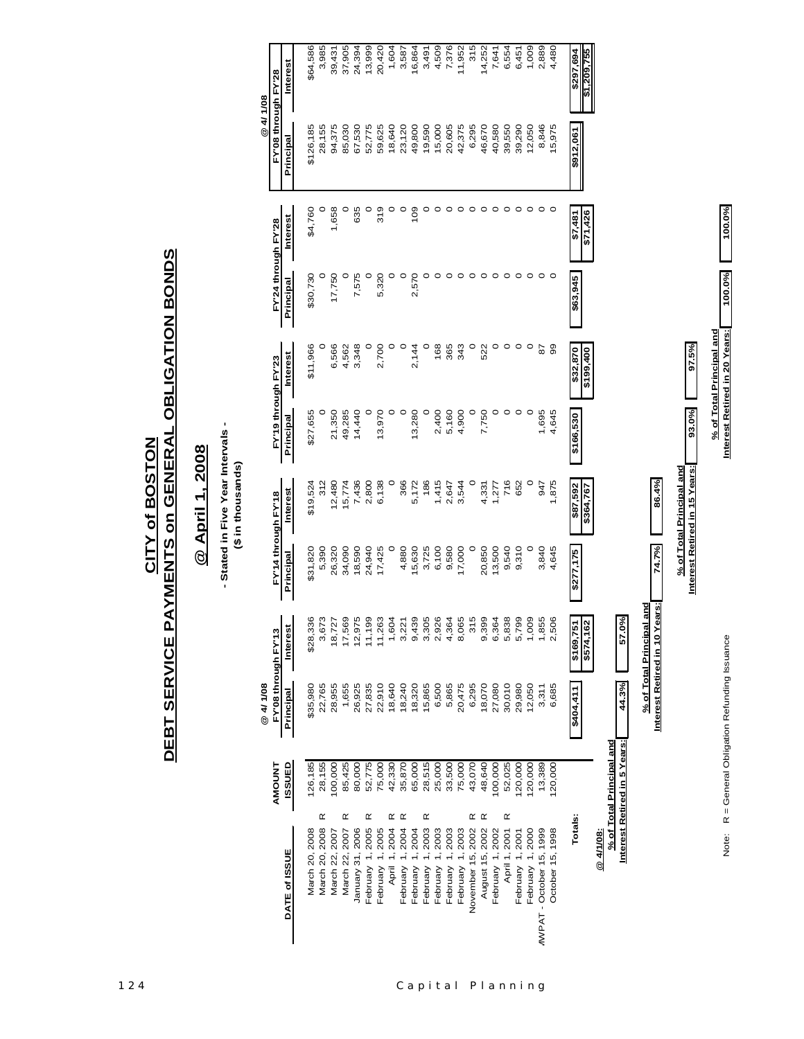Note: R = General Obligation Refunding Issuance **Interest Retired in 20 Years: 100.0% 100.0%**Note: R = General Obligation Refunding Issuance